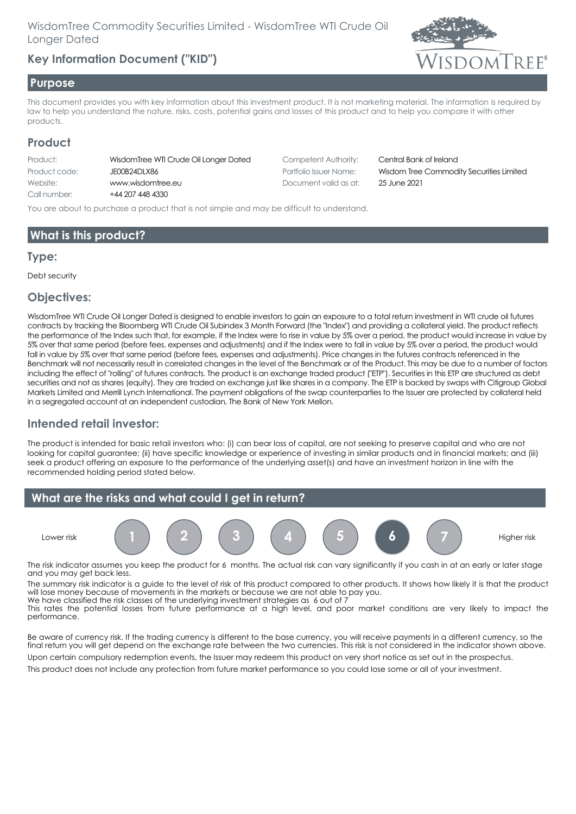## **Key Information Document ("KID")**



#### **Purpose**

This document provides you with key information about this investment product. It is not marketing material. The information is required by law to help you understand the nature, risks, costs, potential gains and losses of this product and to help you compare it with other products.

### **Product**

| Product:      | WisdomTree WTI Crude Oil Longer De |
|---------------|------------------------------------|
| Product code: | JE00B24DLX86                       |
| Website:      | www.wisdomtree.eu                  |
| Call number:  | +44 207 448 4330                   |
|               |                                    |

ated Competent Authority: Central Bank of Ireland Document valid as at: 25 June 2021

Portfolio Issuer Name: Wisdom Tree Commodity Securities Limited

You are about to purchase a product that is not simple and may be difficult to understand.

## **What is this product?**

#### **Type:**

Debt security

### **Objectives:**

WisdomTree WTI Crude Oil Longer Dated is designed to enable investors to gain an exposure to a total return investment in WTI crude oil futures contracts by tracking the Bloomberg WTI Crude Oil Subindex 3 Month Forward (the "Index") and providing a collateral yield. The product reflects the performance of the Index such that, for example, if the Index were to rise in value by 5% over a period, the product would increase in value by 5% over that same period (before fees, expenses and adjustments) and if the Index were to fall in value by 5% over a period, the product would fall in value by 5% over that same period (before fees, expenses and adjustments). Price changes in the futures contracts referenced in the Benchmark will not necessarily result in correlated changes in the level of the Benchmark or of the Product. This may be due to a number of factors including the effect of "rolling" of futures contracts. The product is an exchange traded product ("ETP"). Securities in this ETP are structured as debt securities and not as shares (equity). They are traded on exchange just like shares in a company. The ETP is backed by swaps with Citigroup Global Markets Limited and Merrill Lynch International. The payment obligations of the swap counterparties to the Issuer are protected by collateral held in a segregated account at an independent custodian, The Bank of New York Mellon.

## **Intended retail investor:**

The product is intended for basic retail investors who: (i) can bear loss of capital, are not seeking to preserve capital and who are not looking for capital guarantee; (ii) have specific knowledge or experience of investing in similar products and in financial markets; and (iii) seek a product offering an exposure to the performance of the underlying asset(s) and have an investment horizon in line with the recommended holding period stated below.



The risk indicator assumes you keep the product for 6 months. The actual risk can vary significantly if you cash in at an early or later stage and you may get back less.

The summary risk indicator is a guide to the level of risk of this product compared to other products. It shows how likely it is that the product will lose money because of movements in the markets or because we are not able to pay you. We have classified the risk classes of the underlying investment strategies as 6 out of 7

This rates the potential losses from future performance at a high level, and poor market conditions are very likely to impact the performance.

Be aware of currency risk. If the trading currency is different to the base currency, you will receive payments in a different currency, so the final return you will get depend on the exchange rate between the two currencies. This risk is not considered in the indicator shown above.

Upon certain compulsory redemption events, the Issuer may redeem this product on very short notice as set out in the prospectus. This product does not include any protection from future market performance so you could lose some or all of your investment.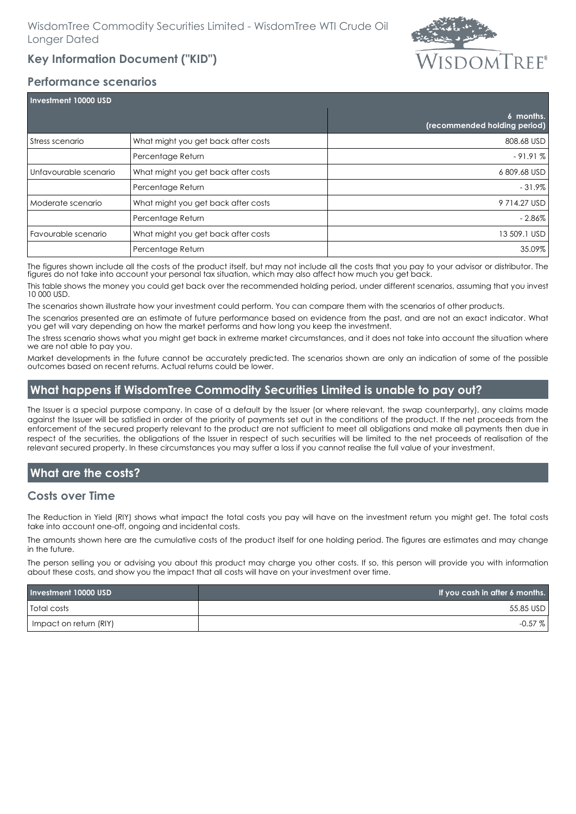# **Key Information Document ("KID")**



#### **Performance scenarios**

| Investment 10000 USD  |                                     |                                           |
|-----------------------|-------------------------------------|-------------------------------------------|
|                       |                                     | 6 months.<br>(recommended holding period) |
| Stress scenario       | What might you get back after costs | 808.68 USD                                |
|                       | Percentage Return                   | $-91.91%$                                 |
| Unfavourable scenario | What might you get back after costs | 6809.68 USD                               |
|                       | Percentage Return                   | $-31.9\%$                                 |
| Moderate scenario     | What might you get back after costs | 9714.27 USD                               |
|                       | Percentage Return                   | - 2.86%                                   |
| Favourable scenario   | What might you get back after costs | 13 509.1 USD                              |
|                       | Percentage Return                   | 35.09%                                    |

The figures shown include all the costs of the product itself, but may not include all the costs that you pay to your advisor or distributor. The figures do not take into account your personal tax situation, which may also affect how much you get back.

This table shows the money you could get back over the recommended holding period, under different scenarios, assuming that you invest 10 000 USD.

The scenarios shown illustrate how your investment could perform. You can compare them with the scenarios of other products.

The scenarios presented are an estimate of future performance based on evidence from the past, and are not an exact indicator. What you get will vary depending on how the market performs and how long you keep the investment.

The stress scenario shows what you might get back in extreme market circumstances, and it does not take into account the situation where we are not able to pay you.

Market developments in the future cannot be accurately predicted. The scenarios shown are only an indication of some of the possible outcomes based on recent returns. Actual returns could be lower.

## **What happens if WisdomTree Commodity Securities Limited is unable to pay out?**

The Issuer is a special purpose company. In case of a default by the Issuer (or where relevant, the swap counterparty), any claims made against the Issuer will be satisfied in order of the priority of payments set out in the conditions of the product. If the net proceeds from the enforcement of the secured property relevant to the product are not sufficient to meet all obligations and make all payments then due in respect of the securities, the obligations of the Issuer in respect of such securities will be limited to the net proceeds of realisation of the relevant secured property. In these circumstances you may suffer a loss if you cannot realise the full value of your investment.

## **What are the costs?**

### **Costs over Time**

The Reduction in Yield (RIY) shows what impact the total costs you pay will have on the investment return you might get. The total costs take into account one-off, ongoing and incidental costs.

The amounts shown here are the cumulative costs of the product itself for one holding period. The figures are estimates and may change in the future.

The person selling you or advising you about this product may charge you other costs. If so, this person will provide you with information about these costs, and show you the impact that all costs will have on your investment over time.

| Investment 10000 USD   | If you cash in after 6 months. |
|------------------------|--------------------------------|
| <b>Total costs</b>     | 55.85 USD                      |
| Impact on return (RIY) | $-0.57\%$                      |